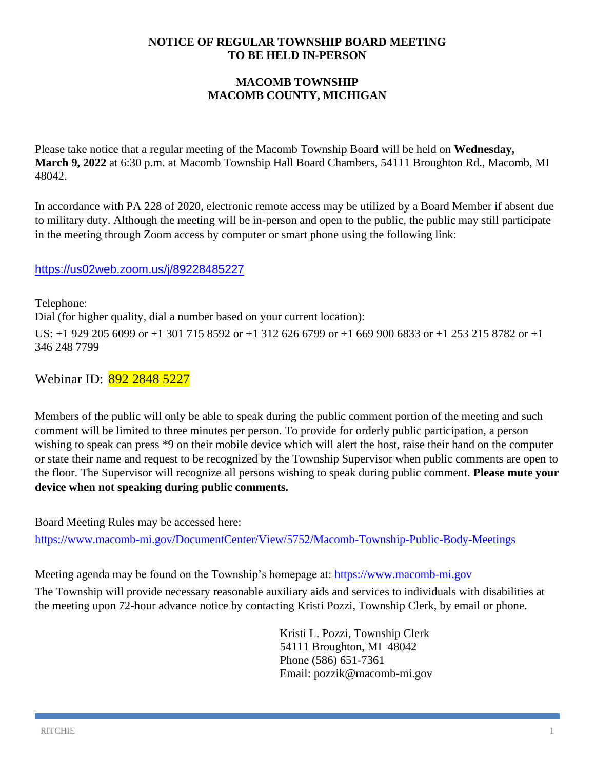#### **NOTICE OF REGULAR TOWNSHIP BOARD MEETING TO BE HELD IN-PERSON**

## **MACOMB TOWNSHIP MACOMB COUNTY, MICHIGAN**

Please take notice that a regular meeting of the Macomb Township Board will be held on **Wednesday, March 9, 2022** at 6:30 p.m. at Macomb Township Hall Board Chambers, 54111 Broughton Rd., Macomb, MI 48042.

In accordance with PA 228 of 2020, electronic remote access may be utilized by a Board Member if absent due to military duty. Although the meeting will be in-person and open to the public, the public may still participate in the meeting through Zoom access by computer or smart phone using the following link:

### <https://us02web.zoom.us/j/89228485227>

Telephone: Dial (for higher quality, dial a number based on your current location): US: +1 929 205 6099 or +1 301 715 8592 or +1 312 626 6799 or +1 669 900 6833 or +1 253 215 8782 or +1 346 248 7799

Webinar ID: 892 2848 5227

Members of the public will only be able to speak during the public comment portion of the meeting and such comment will be limited to three minutes per person. To provide for orderly public participation, a person wishing to speak can press \*9 on their mobile device which will alert the host, raise their hand on the computer or state their name and request to be recognized by the Township Supervisor when public comments are open to the floor. The Supervisor will recognize all persons wishing to speak during public comment. **Please mute your device when not speaking during public comments.**

Board Meeting Rules may be accessed here:

<https://www.macomb-mi.gov/DocumentCenter/View/5752/Macomb-Township-Public-Body-Meetings>

Meeting agenda may be found on the Township's homepage at: [https://www.macomb-mi.gov](https://www.macomb-mi.gov/)

The Township will provide necessary reasonable auxiliary aids and services to individuals with disabilities at the meeting upon 72-hour advance notice by contacting Kristi Pozzi, Township Clerk, by email or phone.

> Kristi L. Pozzi, Township Clerk 54111 Broughton, MI 48042 Phone (586) 651-7361 Email: pozzik@macomb-mi.gov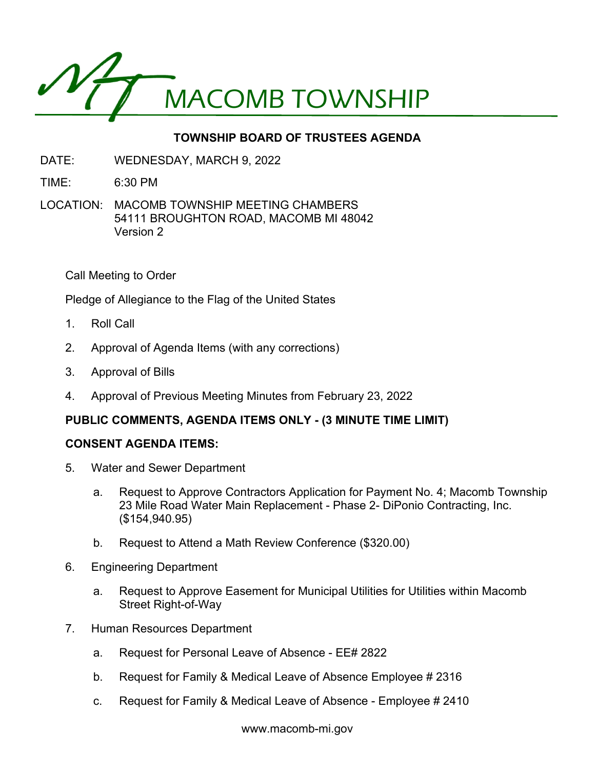

# **TOWNSHIP BOARD OF TRUSTEES AGENDA**

- DATE: WEDNESDAY, MARCH 9, 2022
- TIME: 6:30 PM
- LOCATION: MACOMB TOWNSHIP MEETING CHAMBERS 54111 BROUGHTON ROAD, MACOMB MI 48042 Version 2

Call Meeting to Order

Pledge of Allegiance to the Flag of the United States

- 1. Roll Call
- 2. Approval of Agenda Items (with any corrections)
- 3. Approval of Bills
- 4. Approval of Previous Meeting Minutes from February 23, 2022

## **PUBLIC COMMENTS, AGENDA ITEMS ONLY - (3 MINUTE TIME LIMIT)**

### **CONSENT AGENDA ITEMS:**

- 5. Water and Sewer Department
	- a. Request to Approve Contractors Application for Payment No. 4; Macomb Township 23 Mile Road Water Main Replacement - Phase 2- DiPonio Contracting, Inc. (\$154,940.95)
	- b. Request to Attend a Math Review Conference (\$320.00)
- 6. Engineering Department
	- a. Request to Approve Easement for Municipal Utilities for Utilities within Macomb Street Right-of-Way
- 7. Human Resources Department
	- a. Request for Personal Leave of Absence EE# 2822
	- b. Request for Family & Medical Leave of Absence Employee # 2316
	- c. Request for Family & Medical Leave of Absence Employee # 2410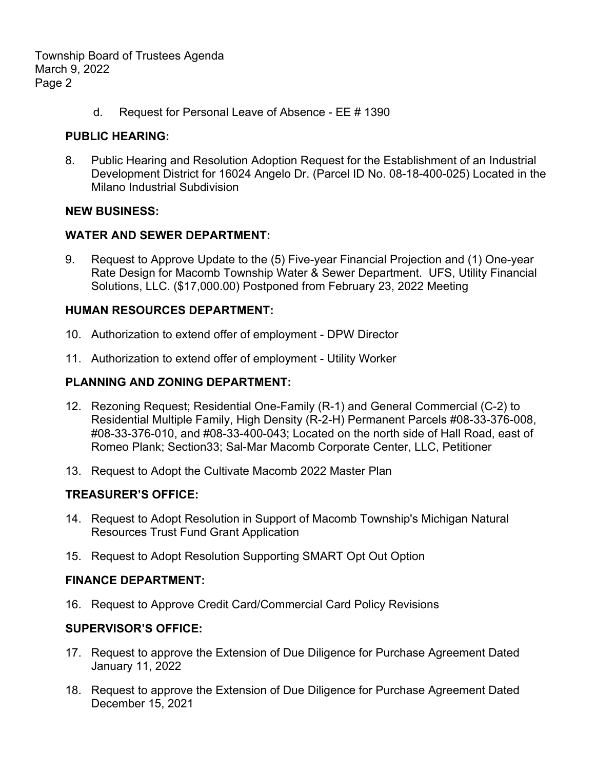Township Board of Trustees Agenda March 9, 2022 Page 2

d. Request for Personal Leave of Absence - EE # 1390

#### **PUBLIC HEARING:**

8. Public Hearing and Resolution Adoption Request for the Establishment of an Industrial Development District for 16024 Angelo Dr. (Parcel ID No. 08-18-400-025) Located in the Milano Industrial Subdivision

#### **NEW BUSINESS:**

#### **WATER AND SEWER DEPARTMENT:**

9. Request to Approve Update to the (5) Five-year Financial Projection and (1) One-year Rate Design for Macomb Township Water & Sewer Department. UFS, Utility Financial Solutions, LLC. (\$17,000.00) Postponed from February 23, 2022 Meeting

#### **HUMAN RESOURCES DEPARTMENT:**

- 10. Authorization to extend offer of employment DPW Director
- 11. Authorization to extend offer of employment Utility Worker

#### **PLANNING AND ZONING DEPARTMENT:**

- 12. Rezoning Request; Residential One-Family (R-1) and General Commercial (C-2) to Residential Multiple Family, High Density (R-2-H) Permanent Parcels #08-33-376-008, #08-33-376-010, and #08-33-400-043; Located on the north side of Hall Road, east of Romeo Plank; Section33; Sal-Mar Macomb Corporate Center, LLC, Petitioner
- 13. Request to Adopt the Cultivate Macomb 2022 Master Plan

### **TREASURER'S OFFICE:**

- 14. Request to Adopt Resolution in Support of Macomb Township's Michigan Natural Resources Trust Fund Grant Application
- 15. Request to Adopt Resolution Supporting SMART Opt Out Option

#### **FINANCE DEPARTMENT:**

16. Request to Approve Credit Card/Commercial Card Policy Revisions

### **SUPERVISOR'S OFFICE:**

- 17. Request to approve the Extension of Due Diligence for Purchase Agreement Dated January 11, 2022
- 18. Request to approve the Extension of Due Diligence for Purchase Agreement Dated December 15, 2021